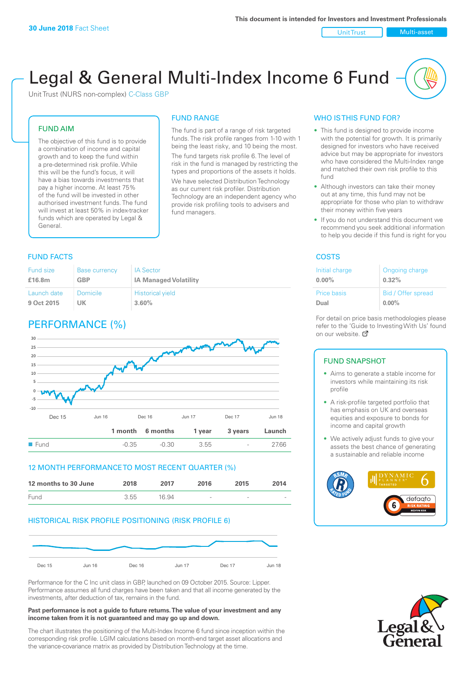#### Unit Trust Nulti-asset

# Legal & General Multi-Index Income 6 Fund

Unit Trust (NURS non-complex) C-Class GBP

# FUND AIM

The objective of this fund is to provide a combination of income and capital growth and to keep the fund within a pre-determined risk profile. While this will be the fund's focus, it will have a bias towards investments that pay a higher income. At least 75% of the fund will be invested in other authorised investment funds. The fund will invest at least 50% in index-tracker funds which are operated by Legal & General.

# FUND RANGE

The fund is part of a range of risk targeted funds. The risk profile ranges from 1-10 with 1 being the least risky, and 10 being the most. The fund targets risk profile 6. The level of risk in the fund is managed by restricting the

types and proportions of the assets it holds. We have selected Distribution Technology as our current risk profiler. Distribution Technology are an independent agency who provide risk profiling tools to advisers and fund managers.

## **FUND FACTS** COSTS

| Fund size   | <b>Base currency</b> | <b>IA Sector</b>             |
|-------------|----------------------|------------------------------|
| £16.8m      | <b>GBP</b>           | <b>IA Managed Volatility</b> |
| Launch date | Domicile             | <b>Historical yield</b>      |
| 9 Oct 2015  | UK                   | 3.60%                        |

# PERFORMANCE (%)



# 12 MONTH PERFORMANCE TO MOST RECENT QUARTER (%)

| 12 months to 30 June | 2018 | 2017  | 2016                     | 2015   | 2014   |
|----------------------|------|-------|--------------------------|--------|--------|
| Fund                 | 3.55 | 16.94 | $\overline{\phantom{a}}$ | $\sim$ | $\sim$ |

# HISTORICAL RISK PROFILE POSITIONING (RISK PROFILE 6)



Performance for the C Inc unit class in GBP, launched on 09 October 2015. Source: Lipper. Performance assumes all fund charges have been taken and that all income generated by the investments, after deduction of tax, remains in the fund.

#### **Past performance is not a guide to future returns. The value of your investment and any income taken from it is not guaranteed and may go up and down.**

The chart illustrates the positioning of the Multi-Index Income 6 fund since inception within the corresponding risk profile. LGIM calculations based on month-end target asset allocations and the variance-covariance matrix as provided by Distribution Technology at the time.

## WHO IS THIS FUND FOR?

- This fund is designed to provide income with the potential for growth. It is primarily designed for investors who have received advice but may be appropriate for investors who have considered the Multi-Index range and matched their own risk profile to this fund
- Although investors can take their money out at any time, this fund may not be appropriate for those who plan to withdraw their money within five years
- If you do not understand this document we recommend you seek additional information to help you decide if this fund is right for you

| Initial charge | Ongoing charge     |
|----------------|--------------------|
| $0.00\%$       | 0.32%              |
| Price basis    | Bid / Offer spread |
| Dual           | $0.00\%$           |

For detail on price basis methodologies please refer to the 'Gu[ide t](http://www.legalandgeneral.com/guide)o Investing With Us' found on our website. Ø

## FUND SNAPSHOT

- Aims to generate a stable income for investors while maintaining its risk profile
- A risk-profile targeted portfolio that has emphasis on UK and overseas equities and exposure to bonds for income and capital growth
- We actively adjust funds to give your assets the best chance of generating a sustainable and reliable income



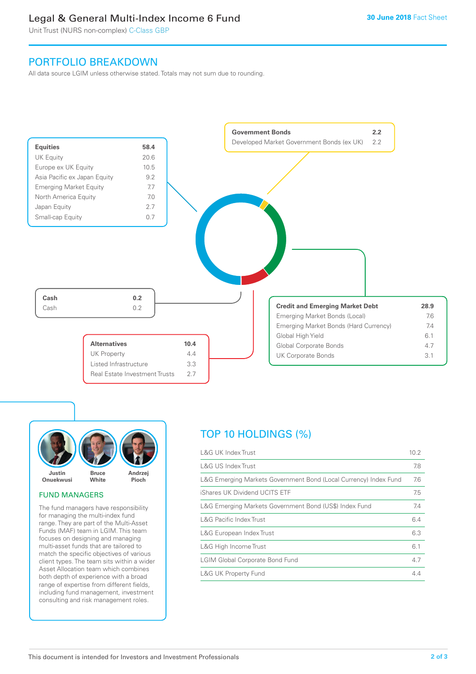# Legal & General Multi-Index Income 6 Fund

Unit Trust (NURS non-complex) C-Class GBP

# PORTFOLIO BREAKDOWN

All data source LGIM unless otherwise stated. Totals may not sum due to rounding.





# FUND MANAGERS

The fund managers have responsibility for managing the multi-index fund range. They are part of the Multi-Asset Funds (MAF) team in LGIM. This team focuses on designing and managing multi-asset funds that are tailored to match the specific objectives of various client types. The team sits within a wider Asset Allocation team which combines both depth of experience with a broad range of expertise from different fields, including fund management, investment consulting and risk management roles.

# TOP 10 HOLDINGS (%)

| <b>L&amp;G UK Index Trust</b>                                    | 10.2 |
|------------------------------------------------------------------|------|
| <b>L&amp;G US Index Trust</b>                                    | 7.8  |
| L&G Emerging Markets Government Bond (Local Currency) Index Fund | 7.6  |
| iShares UK Dividend UCITS ETF                                    | 7.5  |
| L&G Emerging Markets Government Bond (US\$) Index Fund           | 7.4  |
| <b>L&amp;G Pacific Index Trust</b>                               | 6.4  |
| L&G European Index Trust                                         | 6.3  |
| L&G High Income Trust                                            | 6.1  |
| <b>LGIM Global Corporate Bond Fund</b>                           | 4.7  |
| <b>L&amp;G UK Property Fund</b>                                  | 4.4  |